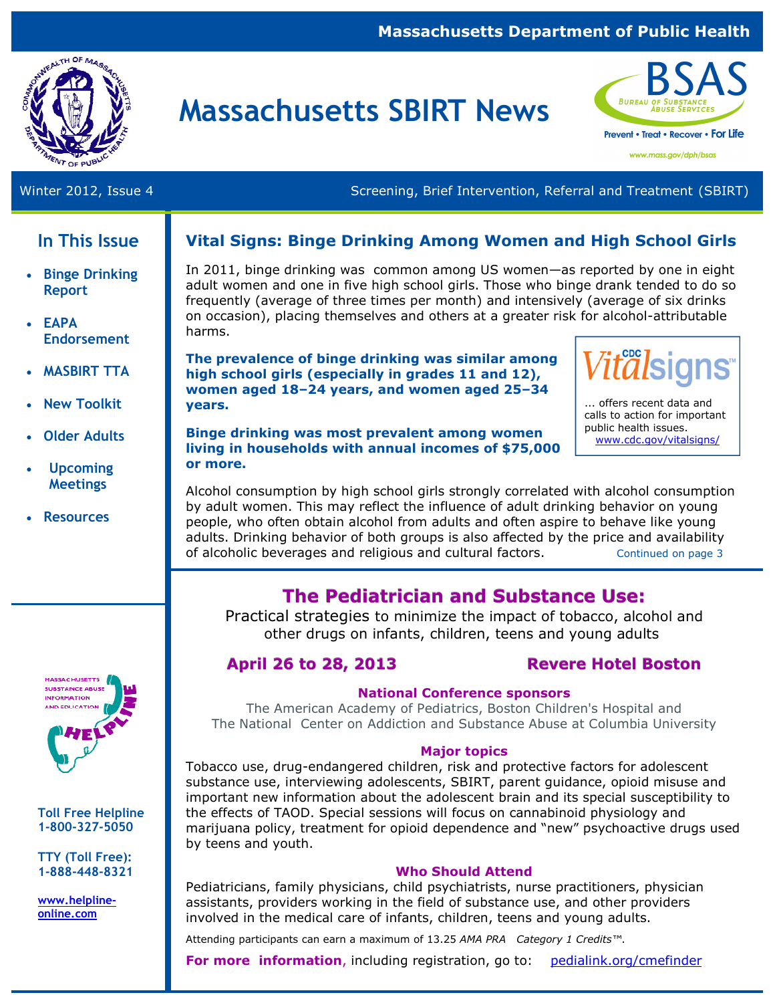#### **Massachusetts Department of Public Health**



# **Massachusetts SBIRT News**



Winter 2012, Issue 4 Screening, Brief Intervention, Referral and Treatment (SBIRT)

## **In This Issue**

- **Binge Drinking Report**
- **EAPA Endorsement**
- **MASBIRT TTA**
- **New Toolkit**
- **Older Adults**
- **Upcoming Meetings**
- **Resources**



**Toll Free Helpline 1-800-327-5050** 

**TTY (Toll Free): 1-888-448-8321** 

**www.helplineonline.com** 

#### **Vital Signs: Binge Drinking Among Women and High School Girls**

In 2011, binge drinking was common among US women—as reported by one in eight adult women and one in five high school girls. Those who binge drank tended to do so frequently (average of three times per month) and intensively (average of six drinks on occasion), placing themselves and others at a greater risk for alcohol-attributable harms.

**The prevalence of binge drinking was similar among high school girls (especially in grades 11 and 12), women aged 18–24 years, and women aged 25–34 years.** 



... offers recent data and calls to action for important public health issues. www.cdc.gov/vitalsigns/

**Binge drinking was most prevalent among women living in households with annual incomes of \$75,000 or more.** 

Alcohol consumption by high school girls strongly correlated with alcohol consumption by adult women. This may reflect the influence of adult drinking behavior on young people, who often obtain alcohol from adults and often aspire to behave like young adults. Drinking behavior of both groups is also affected by the price and availability of alcoholic beverages and religious and cultural factors. Continued on page 3

# **The Pediatrician and Substance Use:**

Practical strategies to minimize the impact of tobacco, alcohol and other drugs on infants, children, teens and young adults

#### **April 26 to 28, 2013 Revere Hotel Boston**

#### **National Conference sponsors**

The American Academy of Pediatrics, Boston Children's Hospital and The National Center on Addiction and Substance Abuse at Columbia University

#### **Major topics**

Tobacco use, drug-endangered children, risk and protective factors for adolescent substance use, interviewing adolescents, SBIRT, parent guidance, opioid misuse and important new information about the adolescent brain and its special susceptibility to the effects of TAOD. Special sessions will focus on cannabinoid physiology and marijuana policy, treatment for opioid dependence and "new" psychoactive drugs used by teens and youth.

#### **Who Should Attend**

Pediatricians, family physicians, child psychiatrists, nurse practitioners, physician assistants, providers working in the field of substance use, and other providers involved in the medical care of infants, children, teens and young adults.

Attending participants can earn a maximum of 13.25 *AMA PRA Category 1 Credits™*.

**For more information**, including registration, go to: pedialink.org/cmefinder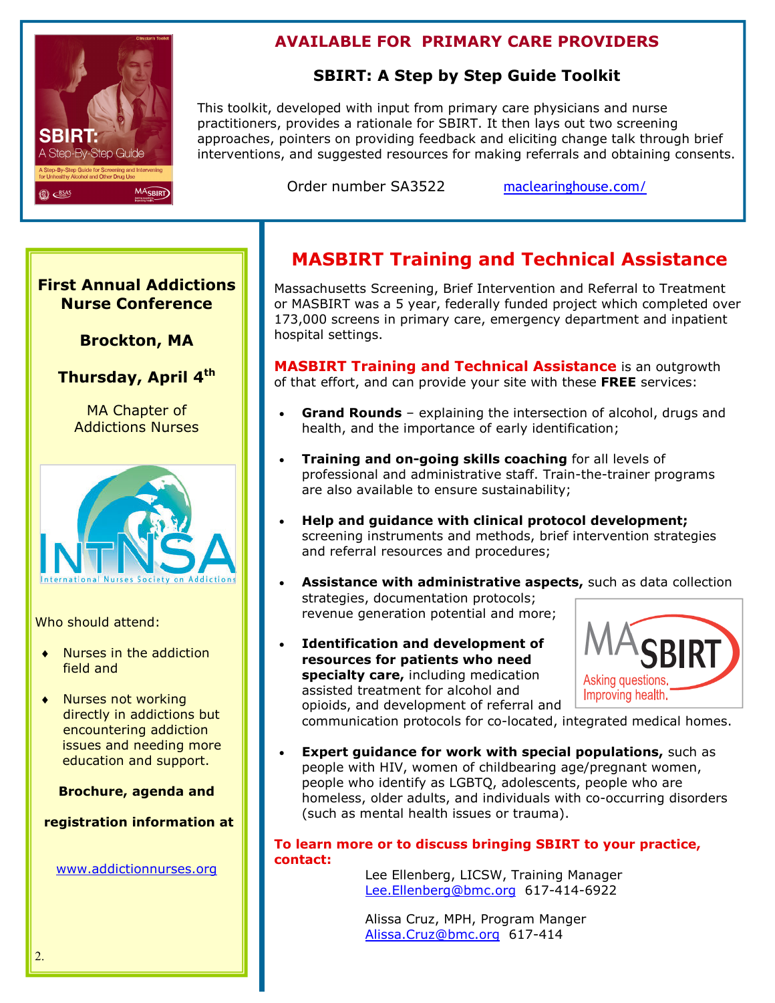

### **AVAILABLE FOR PRIMARY CARE PROVIDERS**

#### **SBIRT: A Step by Step Guide Toolkit**

This toolkit, developed with input from primary care physicians and nurse practitioners, provides a rationale for SBIRT. It then lays out two screening approaches, pointers on providing feedback and eliciting change talk through brief interventions, and suggested resources for making referrals and obtaining consents.

Order number SA3522 maclearinghouse.com/

#### **First Annual Addictions Nurse Conference**

#### **Brockton, MA**

**Thursday, April 4th** 

MA Chapter of Addictions Nurses



Who should attend:

- ♦ Nurses in the addiction field and
- ♦ Nurses not working directly in addictions but encountering addiction issues and needing more education and support.

**Brochure, agenda and** 

 **registration information at** 

www.addictionnurses.org

# **MASBIRT Training and Technical Assistance**

Massachusetts Screening, Brief Intervention and Referral to Treatment or MASBIRT was a 5 year, federally funded project which completed over 173,000 screens in primary care, emergency department and inpatient hospital settings.

**MASBIRT Training and Technical Assistance** is an outgrowth of that effort, and can provide your site with these **FREE** services:

- **Grand Rounds** explaining the intersection of alcohol, drugs and health, and the importance of early identification;
- **Training and on-going skills coaching** for all levels of professional and administrative staff. Train-the-trainer programs are also available to ensure sustainability;
- **Help and guidance with clinical protocol development;**  screening instruments and methods, brief intervention strategies and referral resources and procedures;
- **Assistance with administrative aspects,** such as data collection strategies, documentation protocols; revenue generation potential and more;
- **Identification and development of resources for patients who need specialty care,** including medication assisted treatment for alcohol and opioids, and development of referral and



communication protocols for co-located, integrated medical homes.

**Expert guidance for work with special populations, such as** people with HIV, women of childbearing age/pregnant women, people who identify as LGBTQ, adolescents, people who are homeless, older adults, and individuals with co-occurring disorders (such as mental health issues or trauma).

#### **To learn more or to discuss bringing SBIRT to your practice, contact:**

Lee Ellenberg, LICSW, Training Manager Lee.Ellenberg@bmc.org 617-414-6922

Alissa Cruz, MPH, Program Manger Alissa.Cruz@bmc.org 617-414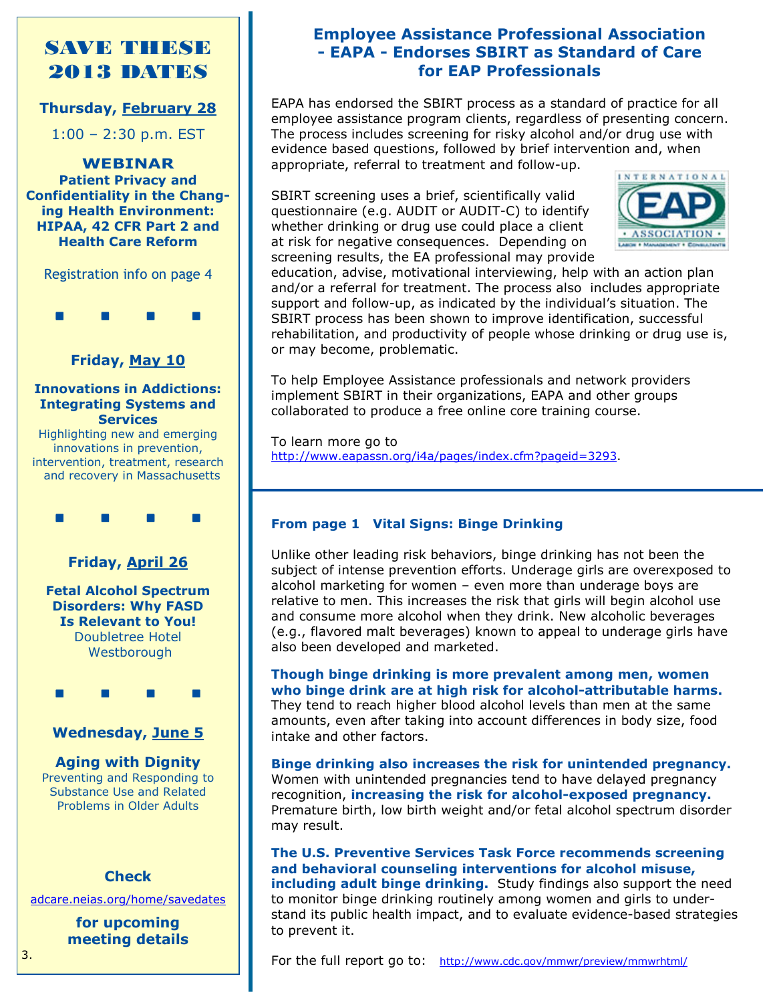# SAVE THESE 2013 DATES

#### **Thursday, February 28**

1:00 – 2:30 p.m. EST

**WEBINAR Patient Privacy and Confidentiality in the Changing Health Environment: HIPAA, 42 CFR Part 2 and Health Care Reform** 

Registration info on page 4



#### **Friday, May 10**

#### **Innovations in Addictions: Integrating Systems and Services**

Highlighting new and emerging innovations in prevention, intervention, treatment, research and recovery in Massachusetts



#### **Friday, April 26**

**Fetal Alcohol Spectrum Disorders: Why FASD Is Relevant to You!**  Doubletree Hotel **Westborough** 

. . . .

#### **Wednesday, June 5**

#### **Aging with Dignity**

Preventing and Responding to Substance Use and Related Problems in Older Adults

#### **Check**

adcare.neias.org/home/savedates

**for upcoming meeting details** 

#### **Employee Assistance Professional Association - EAPA - Endorses SBIRT as Standard of Care for EAP Professionals**

EAPA has endorsed the SBIRT process as a standard of practice for all employee assistance program clients, regardless of presenting concern. The process includes screening for risky alcohol and/or drug use with evidence based questions, followed by brief intervention and, when appropriate, referral to treatment and follow-up.

SBIRT screening uses a brief, scientifically valid questionnaire (e.g. AUDIT or AUDIT-C) to identify whether drinking or drug use could place a client at risk for negative consequences. Depending on screening results, the EA professional may provide



education, advise, motivational interviewing, help with an action plan and/or a referral for treatment. The process also includes appropriate support and follow-up, as indicated by the individual's situation. The SBIRT process has been shown to improve identification, successful rehabilitation, and productivity of people whose drinking or drug use is, or may become, problematic.

To help Employee Assistance professionals and network providers implement SBIRT in their organizations, EAPA and other groups collaborated to produce a free online core training course.

To learn more go to http://www.eapassn.org/i4a/pages/index.cfm?pageid=3293.

#### **From page 1 Vital Signs: Binge Drinking**

Unlike other leading risk behaviors, binge drinking has not been the subject of intense prevention efforts. Underage girls are overexposed to alcohol marketing for women – even more than underage boys are relative to men. This increases the risk that girls will begin alcohol use and consume more alcohol when they drink. New alcoholic beverages (e.g., flavored malt beverages) known to appeal to underage girls have also been developed and marketed.

**Though binge drinking is more prevalent among men, women who binge drink are at high risk for alcohol-attributable harms.**  They tend to reach higher blood alcohol levels than men at the same amounts, even after taking into account differences in body size, food intake and other factors.

**Binge drinking also increases the risk for unintended pregnancy.**  Women with unintended pregnancies tend to have delayed pregnancy recognition, **increasing the risk for alcohol-exposed pregnancy.**  Premature birth, low birth weight and/or fetal alcohol spectrum disorder may result.

**The U.S. Preventive Services Task Force recommends screening and behavioral counseling interventions for alcohol misuse, including adult binge drinking.** Study findings also support the need to monitor binge drinking routinely among women and girls to understand its public health impact, and to evaluate evidence-based strategies to prevent it.